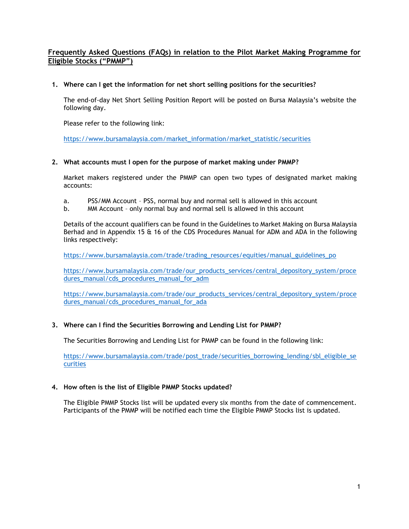# **Frequently Asked Questions (FAQs) in relation to the Pilot Market Making Programme for Eligible Stocks ("PMMP")**

### **1. Where can I get the information for net short selling positions for the securities?**

The end-of-day Net Short Selling Position Report will be posted on Bursa Malaysia's website the following day.

Please refer to the following link:

[https://www.bursamalaysia.com/market\\_information/market\\_statistic/securities](https://www.bursamalaysia.com/market_information/market_statistic/securities)

### **2. What accounts must I open for the purpose of market making under PMMP?**

Market makers registered under the PMMP can open two types of designated market making accounts:

- a. PSS/MM Account PSS, normal buy and normal sell is allowed in this account
- b. MM Account only normal buy and normal sell is allowed in this account

Details of the account qualifiers can be found in the Guidelines to Market Making on Bursa Malaysia Berhad and in Appendix 15 & 16 of the CDS Procedures Manual for ADM and ADA in the following links respectively:

[https://www.bursamalaysia.com/trade/trading\\_resources/equities/manual\\_guidelines\\_po](https://www.bursamalaysia.com/trade/trading_resources/equities/manual_guidelines_po)

[https://www.bursamalaysia.com/trade/our\\_products\\_services/central\\_depository\\_system/proce](https://www.bursamalaysia.com/trade/our_products_services/central_depository_system/procedures_manual/cds_procedures_manual_for_adm) [dures\\_manual/cds\\_procedures\\_manual\\_for\\_adm](https://www.bursamalaysia.com/trade/our_products_services/central_depository_system/procedures_manual/cds_procedures_manual_for_adm)

[https://www.bursamalaysia.com/trade/our\\_products\\_services/central\\_depository\\_system/proce](https://www.bursamalaysia.com/trade/our_products_services/central_depository_system/procedures_manual/cds_procedures_manual_for_ada) [dures\\_manual/cds\\_procedures\\_manual\\_for\\_ada](https://www.bursamalaysia.com/trade/our_products_services/central_depository_system/procedures_manual/cds_procedures_manual_for_ada)

## **3. Where can I find the Securities Borrowing and Lending List for PMMP?**

The Securities Borrowing and Lending List for PMMP can be found in the following link:

[https://www.bursamalaysia.com/trade/post\\_trade/securities\\_borrowing\\_lending/sbl\\_eligible\\_se](https://www.bursamalaysia.com/trade/post_trade/securities_borrowing_lending/sbl_eligible_securities) [curities](https://www.bursamalaysia.com/trade/post_trade/securities_borrowing_lending/sbl_eligible_securities)

#### **4. How often is the list of Eligible PMMP Stocks updated?**

The Eligible PMMP Stocks list will be updated every six months from the date of commencement. Participants of the PMMP will be notified each time the Eligible PMMP Stocks list is updated.